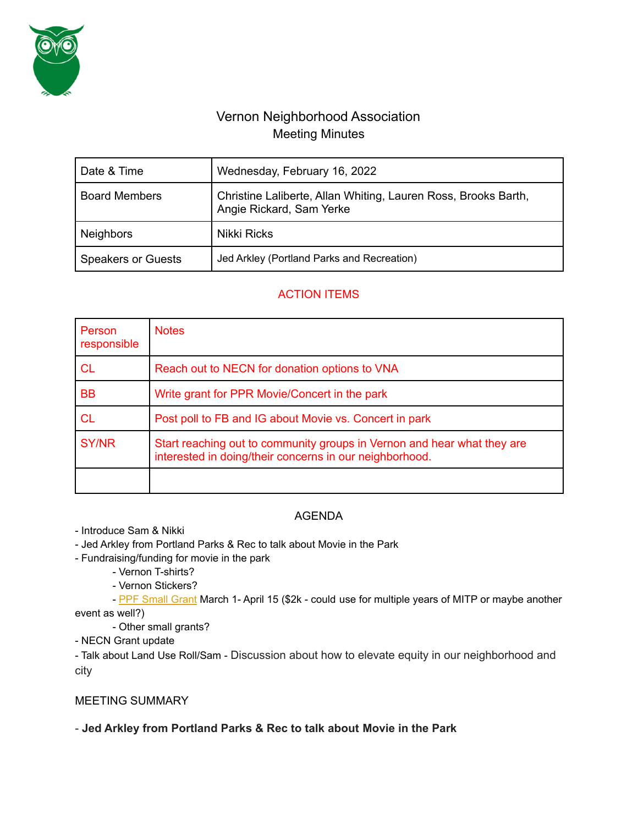

# Vernon Neighborhood Association Meeting Minutes

| Date & Time               | Wednesday, February 16, 2022                                                               |
|---------------------------|--------------------------------------------------------------------------------------------|
| <b>Board Members</b>      | Christine Laliberte, Allan Whiting, Lauren Ross, Brooks Barth,<br>Angie Rickard, Sam Yerke |
| <b>Neighbors</b>          | <b>Nikki Ricks</b>                                                                         |
| <b>Speakers or Guests</b> | Jed Arkley (Portland Parks and Recreation)                                                 |

# ACTION ITEMS

| Person<br>responsible | <b>Notes</b>                                                                                                                       |
|-----------------------|------------------------------------------------------------------------------------------------------------------------------------|
| <b>CL</b>             | Reach out to NECN for donation options to VNA                                                                                      |
| <b>BB</b>             | Write grant for PPR Movie/Concert in the park                                                                                      |
| <b>CL</b>             | Post poll to FB and IG about Movie vs. Concert in park                                                                             |
| <b>SY/NR</b>          | Start reaching out to community groups in Vernon and hear what they are<br>interested in doing/their concerns in our neighborhood. |
|                       |                                                                                                                                    |

### AGENDA

- Introduce Sam & Nikki

- Jed Arkley from Portland Parks & Rec to talk about Movie in the Park

- Fundraising/funding for movie in the park

- Vernon T-shirts?

- Vernon Stickers?

- PPF [Small](https://www.portlandpf.org/grants-program) Grant March 1- April 15 (\$2k - could use for multiple years of MITP or maybe another event as well?)

- Other small grants?

- NECN Grant update

- Talk about Land Use Roll/Sam - Discussion about how to elevate equity in our neighborhood and city

# MEETING SUMMARY

### - **Jed Arkley from Portland Parks & Rec to talk about Movie in the Park**